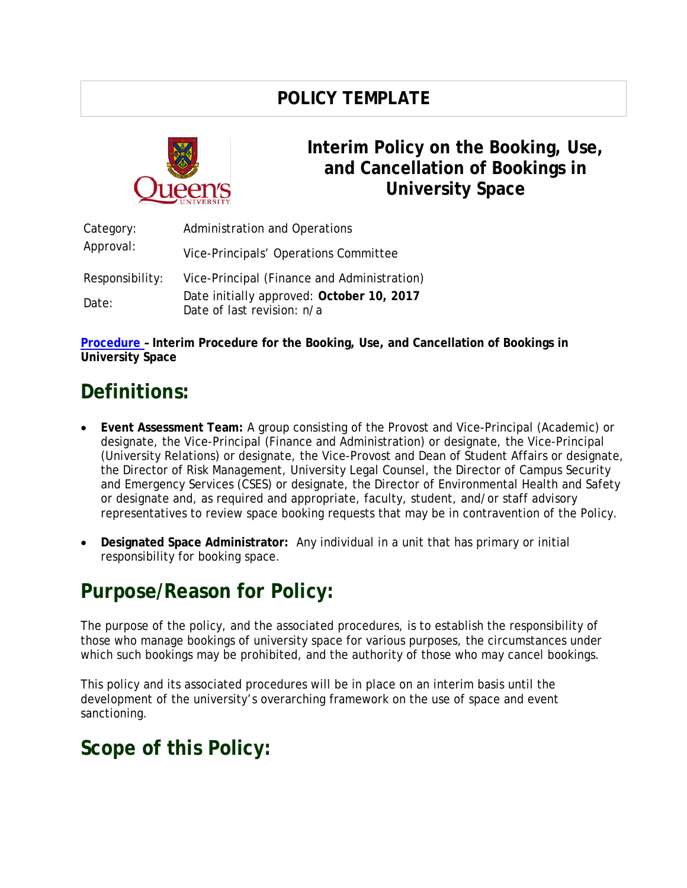### **POLICY TEMPLATE**



### **Interim Policy on the Booking, Use, and Cancellation of Bookings in University Space**

| Category:<br>Approval: | <b>Administration and Operations</b>                                    |
|------------------------|-------------------------------------------------------------------------|
|                        | Vice-Principals' Operations Committee                                   |
| Responsibility:        | Vice-Principal (Finance and Administration)                             |
| Date:                  | Date initially approved: October 10, 2017<br>Date of last revision: n/a |

**[Procedure –](http://www.queensu.ca/secretariat/sites/webpublish.queensu.ca.uslcwww/files/files/policies/Procedure%20-%20Policy%20on%20Booking%2C%20Use%2C%20and%20Cancellation%20of%20Space%20FINAL.pdf) Interim Procedure for the Booking, Use, and Cancellation of Bookings in University Space**

# **Definitions:**

- **Event Assessment Team:** A group consisting of the Provost and Vice-Principal (Academic) or designate, the Vice-Principal (Finance and Administration) or designate, the Vice-Principal (University Relations) or designate, the Vice-Provost and Dean of Student Affairs or designate, the Director of Risk Management, University Legal Counsel, the Director of Campus Security and Emergency Services (CSES) or designate, the Director of Environmental Health and Safety or designate and, as required and appropriate, faculty, student, and/or staff advisory representatives to review space booking requests that may be in contravention of the Policy.
- **Designated Space Administrator:** Any individual in a unit that has primary or initial responsibility for booking space.

## **Purpose/Reason for Policy:**

The purpose of the policy, and the associated procedures, is to establish the responsibility of those who manage bookings of university space for various purposes, the circumstances under which such bookings may be prohibited, and the authority of those who may cancel bookings.

This policy and its associated procedures will be in place on an interim basis until the development of the university's overarching framework on the use of space and event sanctioning.

### **Scope of this Policy:**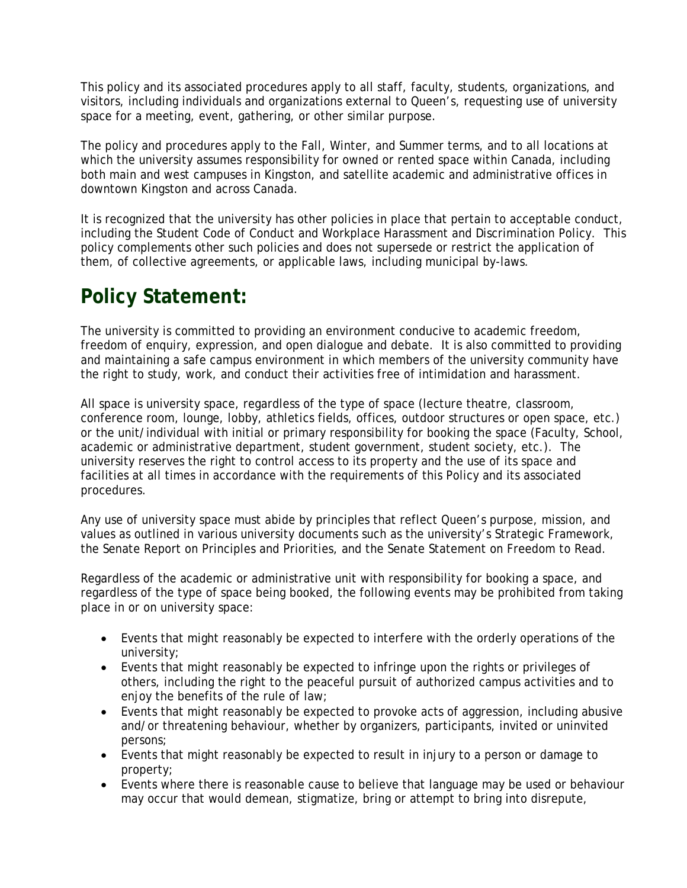This policy and its associated procedures apply to all staff, faculty, students, organizations, and visitors, including individuals and organizations external to Queen's, requesting use of university space for a meeting, event, gathering, or other similar purpose.

The policy and procedures apply to the Fall, Winter, and Summer terms, and to all locations at which the university assumes responsibility for owned or rented space within Canada, including both main and west campuses in Kingston, and satellite academic and administrative offices in downtown Kingston and across Canada.

It is recognized that the university has other policies in place that pertain to acceptable conduct, including the Student Code of Conduct and Workplace Harassment and Discrimination Policy. This policy complements other such policies and does not supersede or restrict the application of them, of collective agreements, or applicable laws, including municipal by-laws.

# **Policy Statement:**

The university is committed to providing an environment conducive to academic freedom, freedom of enquiry, expression, and open dialogue and debate. It is also committed to providing and maintaining a safe campus environment in which members of the university community have the right to study, work, and conduct their activities free of intimidation and harassment.

All space is university space, regardless of the type of space (lecture theatre, classroom, conference room, lounge, lobby, athletics fields, offices, outdoor structures or open space, etc.) or the unit/individual with initial or primary responsibility for booking the space (Faculty, School, academic or administrative department, student government, student society, etc.). The university reserves the right to control access to its property and the use of its space and facilities at all times in accordance with the requirements of this Policy and its associated procedures.

Any use of university space must abide by principles that reflect Queen's purpose, mission, and values as outlined in various university documents such as the university's Strategic Framework, the Senate Report on Principles and Priorities, and the Senate Statement on Freedom to Read.

Regardless of the academic or administrative unit with responsibility for booking a space, and regardless of the type of space being booked, the following events may be prohibited from taking place in or on university space:

- Events that might reasonably be expected to interfere with the orderly operations of the university;
- Events that might reasonably be expected to infringe upon the rights or privileges of others, including the right to the peaceful pursuit of authorized campus activities and to enjoy the benefits of the rule of law;
- Events that might reasonably be expected to provoke acts of aggression, including abusive and/or threatening behaviour, whether by organizers, participants, invited or uninvited persons;
- Events that might reasonably be expected to result in injury to a person or damage to property;
- Events where there is reasonable cause to believe that language may be used or behaviour may occur that would demean, stigmatize, bring or attempt to bring into disrepute,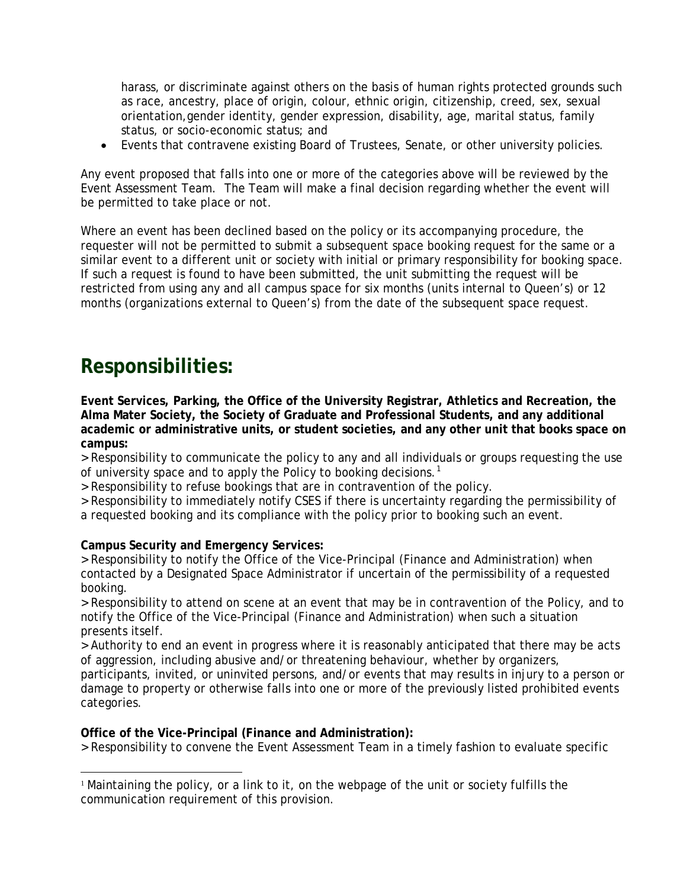harass, or discriminate against others on the basis of human rights protected grounds such as race, ancestry, place of origin, colour, ethnic origin, citizenship, creed, sex, sexual orientation,gender identity, gender expression, disability, age, marital status, family status, or socio-economic status; and

• Events that contravene existing Board of Trustees, Senate, or other university policies.

Any event proposed that falls into one or more of the categories above will be reviewed by the Event Assessment Team. The Team will make a final decision regarding whether the event will be permitted to take place or not.

Where an event has been declined based on the policy or its accompanying procedure, the requester will not be permitted to submit a subsequent space booking request for the same or a similar event to a different unit or society with initial or primary responsibility for booking space. If such a request is found to have been submitted, the unit submitting the request will be restricted from using any and all campus space for six months (units internal to Queen's) or 12 months (organizations external to Queen's) from the date of the subsequent space request.

### **Responsibilities:**

**Event Services, Parking, the Office of the University Registrar, Athletics and Recreation, the Alma Mater Society, the Society of Graduate and Professional Students, and any additional academic or administrative units, or student societies, and any other unit that books space on campus:**

> Responsibility to communicate the policy to any and all individuals or groups requesting the use of university space and to apply the Policy to booking decisions.<sup>[1](#page-2-0)</sup>

> Responsibility to refuse bookings that are in contravention of the policy.

> Responsibility to immediately notify CSES if there is uncertainty regarding the permissibility of

a requested booking and its compliance with the policy prior to booking such an event.

#### **Campus Security and Emergency Services:**

> Responsibility to notify the Office of the Vice-Principal (Finance and Administration) when contacted by a Designated Space Administrator if uncertain of the permissibility of a requested booking.

> Responsibility to attend on scene at an event that may be in contravention of the Policy, and to notify the Office of the Vice-Principal (Finance and Administration) when such a situation presents itself.

> Authority to end an event in progress where it is reasonably anticipated that there may be acts of aggression, including abusive and/or threatening behaviour, whether by organizers,

participants, invited, or uninvited persons, and/or events that may results in injury to a person or damage to property or otherwise falls into one or more of the previously listed prohibited events categories.

#### **Office of the Vice-Principal (Finance and Administration):**

> Responsibility to convene the Event Assessment Team in a timely fashion to evaluate specific

<span id="page-2-0"></span><sup>&</sup>lt;sup>1</sup> Maintaining the policy, or a link to it, on the webpage of the unit or society fulfills the communication requirement of this provision.